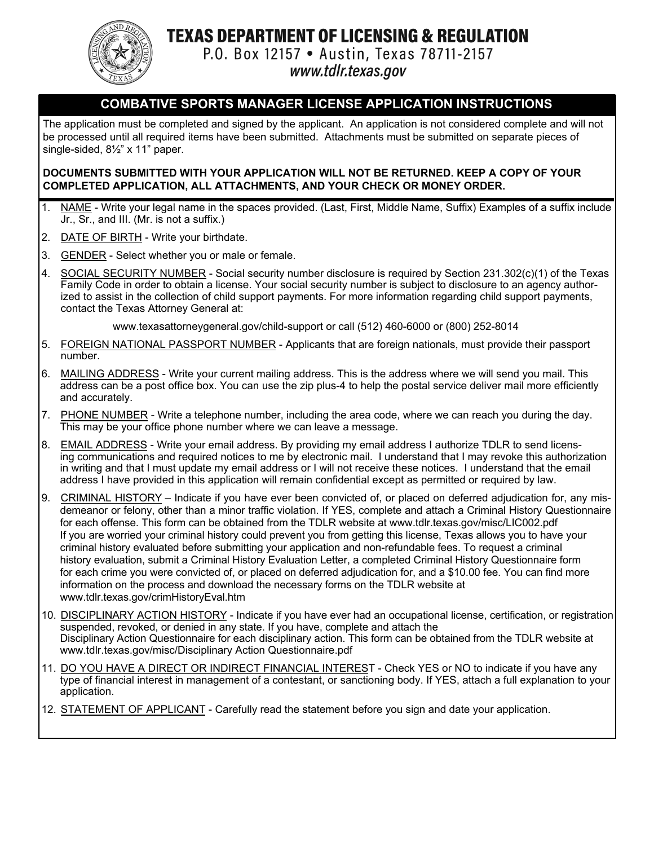

TEXAS DEPARTMENT OF LICENSING & REGULATION

P.O. Box 12157 • Austin, Texas 78711-2157

www.tdlr.texas.gov

## **COMBATIVE SPORTS MANAGER LICENSE APPLICATION INSTRUCTIONS**

The application must be completed and signed by the applicant. An application is not considered complete and will not be processed until all required items have been submitted. Attachments must be submitted on separate pieces of single-sided, 8½" x 11" paper.

### **DOCUMENTS SUBMITTED WITH YOUR APPLICATION WILL NOT BE RETURNED. KEEP A COPY OF YOUR COMPLETED APPLICATION, ALL ATTACHMENTS, AND YOUR CHECK OR MONEY ORDER.**

- 1. NAME Write your legal name in the spaces provided. (Last, First, Middle Name, Suffix) Examples of a suffix include Jr., Sr., and III. (Mr. is not a suffix.)
- 2. DATE OF BIRTH Write your birthdate.
- 3. GENDER Select whether you or male or female.
- 4. SOCIAL SECURITY NUMBER Social security number disclosure is required by Section 231.302(c)(1) of the Texas Family Code in order to obtain a license. Your social security number is subject to disclosure to an agency authorized to assist in the collection of child support payments. For more information regarding child support payments, contact the Texas Attorney General at:

www.texasattorneygeneral.gov/child-support or call (512) 460-6000 or (800) 252-8014

- 5. FOREIGN NATIONAL PASSPORT NUMBER Applicants that are foreign nationals, must provide their passport number.
- 6. MAILING ADDRESS Write your current mailing address. This is the address where we will send you mail. This address can be a post office box. You can use the zip plus-4 to help the postal service deliver mail more efficiently and accurately.
- 7. PHONE NUMBER Write a telephone number, including the area code, where we can reach you during the day. This may be your office phone number where we can leave a message.
- 8. EMAIL ADDRESS Write your email address. By providing my email address I authorize TDLR to send licensing communications and required notices to me by electronic mail. I understand that I may revoke this authorization in writing and that I must update my email address or I will not receive these notices. I understand that the email address I have provided in this application will remain confidential except as permitted or required by law.
- 9. CRIMINAL HISTORY Indicate if you have ever been convicted of, or placed on deferred adjudication for, any misdemeanor or felony, other than a minor traffic violation. If YES, complete and attach a Criminal History Questionnaire for each offense. This form can be obtained from the TDLR website at www.tdlr.texas.gov/misc/LIC002.pdf If you are worried your criminal history could prevent you from getting this license, Texas allows you to have your criminal history evaluated before submitting your application and non-refundable fees. To request a criminal history evaluation, submit a Criminal History Evaluation Letter, a completed Criminal History Questionnaire form for each crime you were convicted of, or placed on deferred adjudication for, and a \$10.00 fee. You can find more information on the process and download the necessary forms on the TDLR website at www.tdlr.texas.gov/crimHistoryEval.htm
- 10. DISCIPLINARY ACTION HISTORY Indicate if you have ever had an occupational license, certification, or registration suspended, revoked, or denied in any state. If you have, complete and attach the Disciplinary Action Questionnaire for each disciplinary action. This form can be obtained from the TDLR website at www.tdlr.texas.gov/misc/Disciplinary Action Questionnaire.pdf
- 11. DO YOU HAVE A DIRECT OR INDIRECT FINANCIAL INTEREST Check YES or NO to indicate if you have any type of financial interest in management of a contestant, or sanctioning body. If YES, attach a full explanation to your application.
- 12. STATEMENT OF APPLICANT Carefully read the statement before you sign and date your application.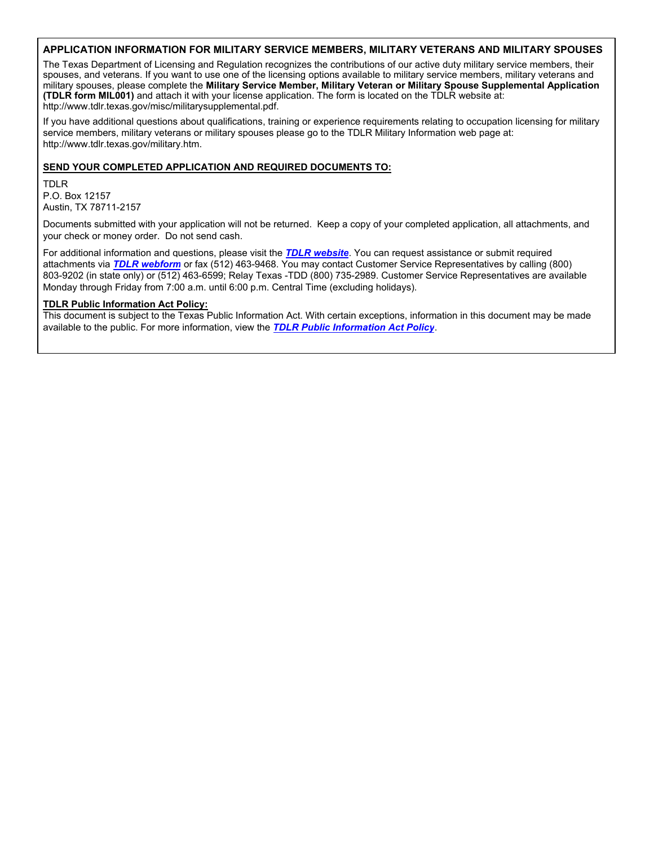#### **APPLICATION INFORMATION FOR MILITARY SERVICE MEMBERS, MILITARY VETERANS AND MILITARY SPOUSES**

The Texas Department of Licensing and Regulation recognizes the contributions of our active duty military service members, their spouses, and veterans. If you want to use one of the licensing options available to military service members, military veterans and military spouses, please complete the **Military Service Member, Military Veteran or Military Spouse Supplemental Application (TDLR form MIL001)** and attach it with your license application. The form is located on the TDLR website at: http://www.tdlr.texas.gov/misc/militarysupplemental.pdf.

If you have additional questions about qualifications, training or experience requirements relating to occupation licensing for military service members, military veterans or military spouses please go to the TDLR Military Information web page at: http://www.tdlr.texas.gov/military.htm.

#### **SEND YOUR COMPLETED APPLICATION AND REQUIRED DOCUMENTS TO:**

TDLR P.O. Box 12157 Austin, TX 78711-2157

Documents submitted with your application will not be returned. Keep a copy of your completed application, all attachments, and your check or money order. Do not send cash.

For additional information and questions, please visit the *[TDLR website](https://www.tdlr.texas.gov/)*. You can request assistance or submit required attachments via *[TDLR webform](https://www.tdlr.texas.gov/help/)* or fax (512) 463-9468. You may contact Customer Service Representatives by calling (800) 803-9202 (in state only) or (512) 463-6599; Relay Texas -TDD (800) 735-2989. Customer Service Representatives are available Monday through Friday from 7:00 a.m. until 6:00 p.m. Central Time (excluding holidays).

#### **TDLR Public Information Act Policy:**

This document is subject to the Texas Public Information Act. With certain exceptions, information in this document may be made available to the public. For more information, view the *[TDLR Public Information Act Policy](https://www.tdlr.texas.gov/disclaimer.htm#PublicInfoPolicy)*.